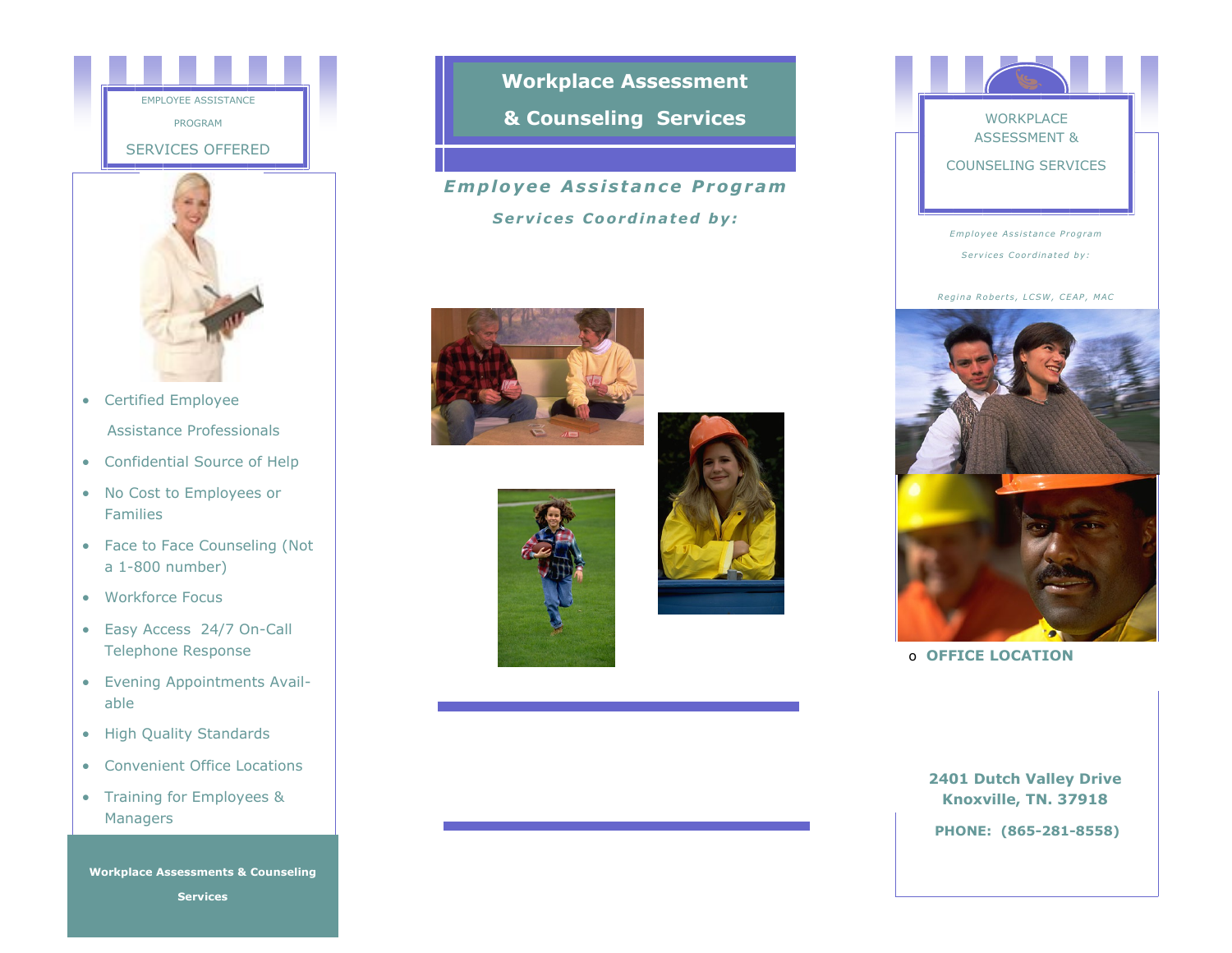



- Certified Employee Assistance Professionals
- Confidential Source of Help
- No Cost to Employees or Families
- Face to Face Counseling (Not a 1-800 number)
- Workforce Focus
- Easy Access 24/7 On-Call Telephone Response
- Evening Appointments Available
- High Quality Standards
- Convenient Office Locations
- Training for Employees & Managers

**Workplace Assessments & Counseling Services**

**Workplace Assessment & Counseling Services**

# **Enhance employee health &**  *Em p lo y e e A s s i s t a n c e P r og r am*

**through practical, affordable,**  *S e r v i c e s C o o r d i n a t ed b y :*





# **WORKPLACE** ASSESSMENT & COUNSELING SERVICES

*Em plo y e e A s s i s t an c e P ro g r am*  $S$  ervices Coordinated by:

*R e gi n a R o b e r t s , LC SW , CE AP , MAC* 



o **OFFICE LOCATION**

**2401 Dutch Valley Drive Knoxville, TN. 37918**

**PHONE: (865-281-8558)**